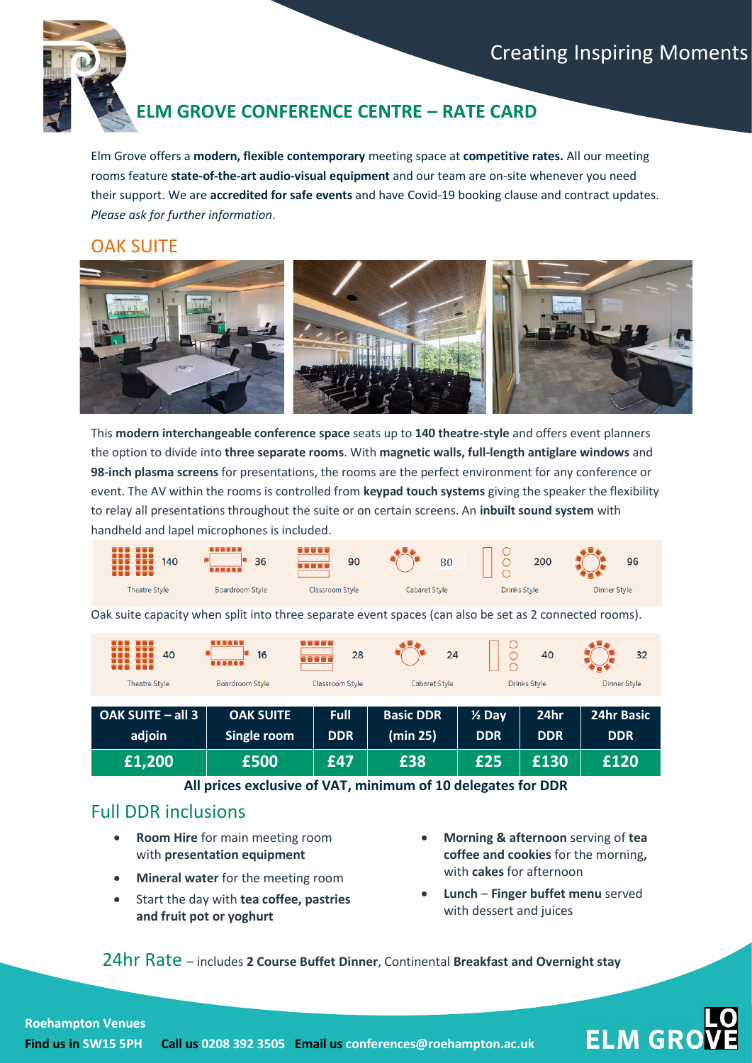

# **ELM GROVE CONFERENCE CENTRE – RATE CARD**

Elm Grove offers a **modern, flexible contemporary** meeting space at **competitive rates.** All our meeting rooms feature **state-of-the-art audio-visual equipment** and our team are on-site whenever you need their support. We are **accredited for safe events** and have Covid-19 booking clause and contract updates. *Please ask for further information*.

#### OAK SUITE



This **modern interchangeable conference space** seats up to **140 theatre-style** and offers event planners the option to divide into **three separate rooms**. With **magnetic walls, full-length antiglare windows** and **98-inch plasma screens** for presentations, the rooms are the perfect environment for any conference or event. The AV within the rooms is controlled from **keypad touch systems** giving the speaker the flexibility to relay all presentations throughout the suite or on certain screens. An **inbuilt sound system** with handheld and lapel microphones is included.



Oak suite capacity when split into three separate event spaces (can also be set as 2 connected rooms).

| m<br>40<br>n ti          | mono<br>16<br>   | TTTTT<br>28<br><b>TRATE</b> | 24               | Ő                 | 40                  | 32                  |
|--------------------------|------------------|-----------------------------|------------------|-------------------|---------------------|---------------------|
| <b>Theatre Style</b>     | Boardroom Style  | Classroom Style             | Cabaret Style    |                   | <b>Drinks Style</b> | <b>Dinner Style</b> |
|                          |                  |                             |                  |                   |                     |                     |
| <b>OAK SUITE - all 3</b> | <b>OAK SUITE</b> | Full                        | <b>Basic DDR</b> | $\frac{1}{2}$ Day | 24hr                | <b>24hr Basic</b>   |
| adjoin                   | Single room      | <b>DDR</b>                  | (min 25)         | <b>DDR</b>        | <b>DDR</b>          | <b>DDR</b>          |
| £1,200                   | £500             | £47                         | £38              | £25               | £130                | £120                |

**All prices exclusive of VAT, minimum of 10 delegates for DDR**

### Full DDR inclusions

- **Room Hire** for main meeting room with **presentation equipment**
- **Mineral water** for the meeting room
- Start the day with **tea coffee, pastries and fruit pot or yoghurt**
- **Morning & afternoon** serving of **tea coffee and cookies** for the morning**,**  with **cakes** for afternoon
- **Lunch Finger buffet menu** served with dessert and juices

**ELM GRO** 

24hr Rate – includes **2 Course Buffet Dinner**, Continental **Breakfast and Overnight stay**